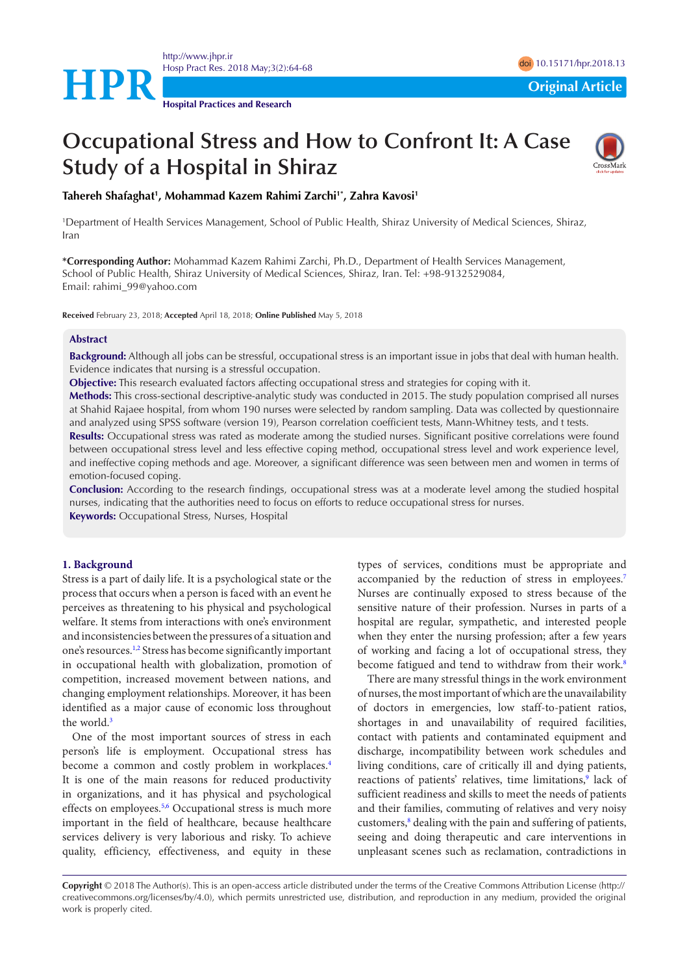

<http://www.jhpr.ir> Hosp Pract Res. 2018 May;3(2):64-68 doi [10.15171/hpr.2018.1](https://doi.org/10.15171/hpr.2018.13)3

**Hospital Practices and Research**

# **Occupational Stress and How to Confront It: A Case Study of a Hospital in Shiraz**



**Tahereh Shafaghat1 , Mohammad Kazem Rahimi Zarchi1\* , Zahra Kavosi1**

1 Department of Health Services Management, School of Public Health, Shiraz University of Medical Sciences, Shiraz, Iran

**\*Corresponding Author:** Mohammad Kazem Rahimi Zarchi, Ph.D., Department of Health Services Management, School of Public Health, Shiraz University of Medical Sciences, Shiraz, Iran. Tel: +98-9132529084, Email: rahimi\_99@yahoo.com

**Received** February 23, 2018; **Accepted** April 18, 2018; **Online Published** May 5, 2018

### **Abstract**

**Background:** Although all jobs can be stressful, occupational stress is an important issue in jobs that deal with human health. Evidence indicates that nursing is a stressful occupation.

**Objective:** This research evaluated factors affecting occupational stress and strategies for coping with it.

**Methods:** This cross-sectional descriptive-analytic study was conducted in 2015. The study population comprised all nurses at Shahid Rajaee hospital, from whom 190 nurses were selected by random sampling. Data was collected by questionnaire and analyzed using SPSS software (version 19), Pearson correlation coefficient tests, Mann-Whitney tests, and t tests.

**Results:** Occupational stress was rated as moderate among the studied nurses. Significant positive correlations were found between occupational stress level and less effective coping method, occupational stress level and work experience level, and ineffective coping methods and age. Moreover, a significant difference was seen between men and women in terms of emotion-focused coping.

**Conclusion:** According to the research findings, occupational stress was at a moderate level among the studied hospital nurses, indicating that the authorities need to focus on efforts to reduce occupational stress for nurses. **Keywords:** Occupational Stress, Nurses, Hospital

### **1. Background**

Stress is a part of daily life. It is a psychological state or the process that occurs when a person is faced with an event he perceives as threatening to his physical and psychological welfare. It stems from interactions with one's environment and inconsistencies between the pressures of a situation and one's resources.<sup>1,[2](#page-4-1)</sup> Stress has become significantly important in occupational health with globalization, promotion of competition, increased movement between nations, and changing employment relationships. Moreover, it has been identified as a major cause of economic loss throughout the world.<sup>[3](#page-4-2)</sup>

One of the most important sources of stress in each person's life is employment. Occupational stress has become a common and costly problem in workplaces.<sup>[4](#page-4-3)</sup> It is one of the main reasons for reduced productivity in organizations, and it has physical and psychological effects on employees.<sup>5[,6](#page-4-5)</sup> Occupational stress is much more important in the field of healthcare, because healthcare services delivery is very laborious and risky. To achieve quality, efficiency, effectiveness, and equity in these

types of services, conditions must be appropriate and accompanied by the reduction of stress in employees.<sup>[7](#page-4-6)</sup> Nurses are continually exposed to stress because of the sensitive nature of their profession. Nurses in parts of a hospital are regular, sympathetic, and interested people when they enter the nursing profession; after a few years of working and facing a lot of occupational stress, they become fatigued and tend to withdraw from their work.<sup>[8](#page-4-7)</sup>

There are many stressful things in the work environment of nurses, the most important of which are the unavailability of doctors in emergencies, low staff-to-patient ratios, shortages in and unavailability of required facilities, contact with patients and contaminated equipment and discharge, incompatibility between work schedules and living conditions, care of critically ill and dying patients, reactions of patients' relatives, time limitations,<sup>9</sup> lack of sufficient readiness and skills to meet the needs of patients and their families, commuting of relatives and very noisy customers,<sup>8</sup> dealing with the pain and suffering of patients, seeing and doing therapeutic and care interventions in unpleasant scenes such as reclamation, contradictions in

**Copyright** © 2018 The Author(s). This is an open-access article distributed under the terms of the Creative Commons Attribution License (http:// creativecommons.org/licenses/by/4.0), which permits unrestricted use, distribution, and reproduction in any medium, provided the original work is properly cited.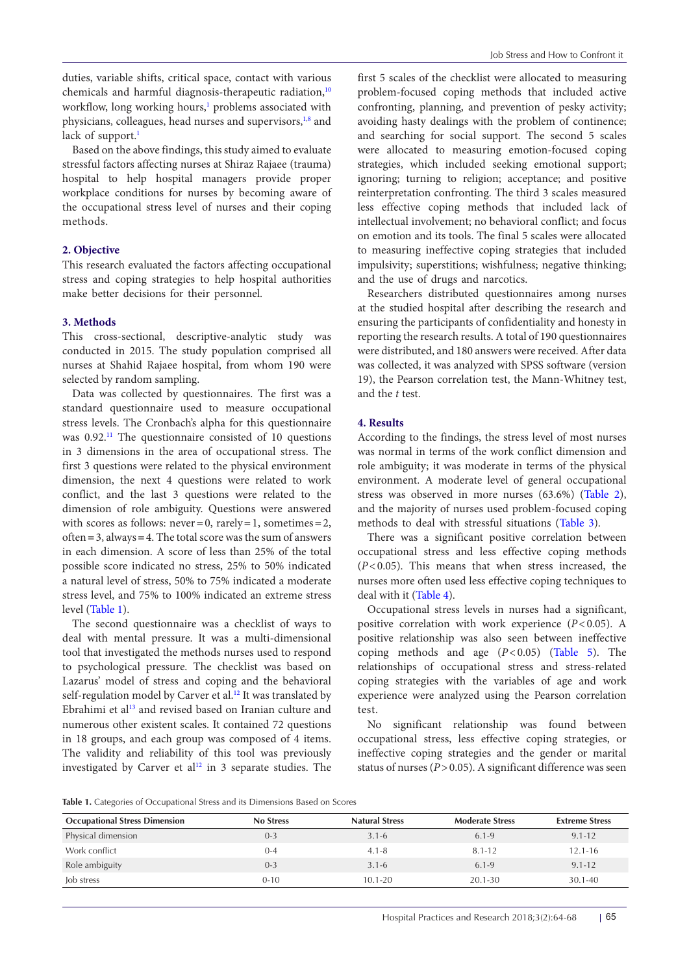duties, variable shifts, critical space, contact with various chemicals and harmful diagnosis-therapeutic radiation,<sup>[10](#page-4-9)</sup> workflow, long working hours,<sup>1</sup> problems associated with physicians, colleagues, head nurses and supervisors,<sup>[1,](#page-4-0)[8](#page-4-7)</sup> and lack of support.<sup>1</sup>

Based on the above findings, this study aimed to evaluate stressful factors affecting nurses at Shiraz Rajaee (trauma) hospital to help hospital managers provide proper workplace conditions for nurses by becoming aware of the occupational stress level of nurses and their coping methods.

# **2. Objective**

This research evaluated the factors affecting occupational stress and coping strategies to help hospital authorities make better decisions for their personnel.

# **3. Methods**

This cross-sectional, descriptive-analytic study was conducted in 2015. The study population comprised all nurses at Shahid Rajaee hospital, from whom 190 were selected by random sampling.

Data was collected by questionnaires. The first was a standard questionnaire used to measure occupational stress levels. The Cronbach's alpha for this questionnaire was 0.92.[11](#page-4-10) The questionnaire consisted of 10 questions in 3 dimensions in the area of occupational stress. The first 3 questions were related to the physical environment dimension, the next 4 questions were related to work conflict, and the last 3 questions were related to the dimension of role ambiguity. Questions were answered with scores as follows: never**=**0, rarely**=**1, sometimes**=**2, often**=**3, always**=**4. The total score was the sum of answers in each dimension. A score of less than 25% of the total possible score indicated no stress, 25% to 50% indicated a natural level of stress, 50% to 75% indicated a moderate stress level, and 75% to 100% indicated an extreme stress level ([Table 1](#page-1-0)).

The second questionnaire was a checklist of ways to deal with mental pressure. It was a multi-dimensional tool that investigated the methods nurses used to respond to psychological pressure. The checklist was based on Lazarus' model of stress and coping and the behavioral self-regulation model by Carver et al.<sup>[12](#page-4-11)</sup> It was translated by Ebrahimi et al<sup>13</sup> and revised based on Iranian culture and numerous other existent scales. It contained 72 questions in 18 groups, and each group was composed of 4 items. The validity and reliability of this tool was previously investigated by Carver et al<sup>12</sup> in 3 separate studies. The

first 5 scales of the checklist were allocated to measuring problem-focused coping methods that included active confronting, planning, and prevention of pesky activity; avoiding hasty dealings with the problem of continence; and searching for social support. The second 5 scales were allocated to measuring emotion-focused coping strategies, which included seeking emotional support; ignoring; turning to religion; acceptance; and positive reinterpretation confronting. The third 3 scales measured less effective coping methods that included lack of intellectual involvement; no behavioral conflict; and focus on emotion and its tools. The final 5 scales were allocated to measuring ineffective coping strategies that included impulsivity; superstitions; wishfulness; negative thinking; and the use of drugs and narcotics.

Researchers distributed questionnaires among nurses at the studied hospital after describing the research and ensuring the participants of confidentiality and honesty in reporting the research results. A total of 190 questionnaires were distributed, and 180 answers were received. After data was collected, it was analyzed with SPSS software (version 19), the Pearson correlation test, the Mann-Whitney test, and the *t* test.

# **4. Results**

According to the findings, the stress level of most nurses was normal in terms of the work conflict dimension and role ambiguity; it was moderate in terms of the physical environment. A moderate level of general occupational stress was observed in more nurses (63.6%) ([Table 2\)](#page-2-0), and the majority of nurses used problem-focused coping methods to deal with stressful situations ([Table 3](#page-2-1)).

There was a significant positive correlation between occupational stress and less effective coping methods (*P*<0.05). This means that when stress increased, the nurses more often used less effective coping techniques to deal with it [\(Table 4\)](#page-2-2).

Occupational stress levels in nurses had a significant, positive correlation with work experience (*P*<0.05). A positive relationship was also seen between ineffective coping methods and age (*P*<0.05) [\(Table 5](#page-2-3)). The relationships of occupational stress and stress-related coping strategies with the variables of age and work experience were analyzed using the Pearson correlation test.

No significant relationship was found between occupational stress, less effective coping strategies, or ineffective coping strategies and the gender or marital status of nurses (*P*>0.05). A significant difference was seen

<span id="page-1-0"></span>Table 1. Categories of Occupational Stress and its Dimensions Based on Scores

| <b>Occupational Stress Dimension</b> | <b>No Stress</b> | <b>Natural Stress</b> | <b>Moderate Stress</b> | <b>Extreme Stress</b> |
|--------------------------------------|------------------|-----------------------|------------------------|-----------------------|
| Physical dimension                   | $0 - 3$          | $3.1 - 6$             | $6.1 - 9$              | $9.1 - 12$            |
| Work conflict                        | $0 - 4$          | $4.1 - 8$             | $8.1 - 12$             | $12.1 - 16$           |
| Role ambiguity                       | $0 - 3$          | $3.1 - 6$             | $6.1 - 9$              | $9.1 - 12$            |
| Job stress                           | $0 - 10$         | $10.1 - 20$           | $20.1 - 30$            | 30.1-40               |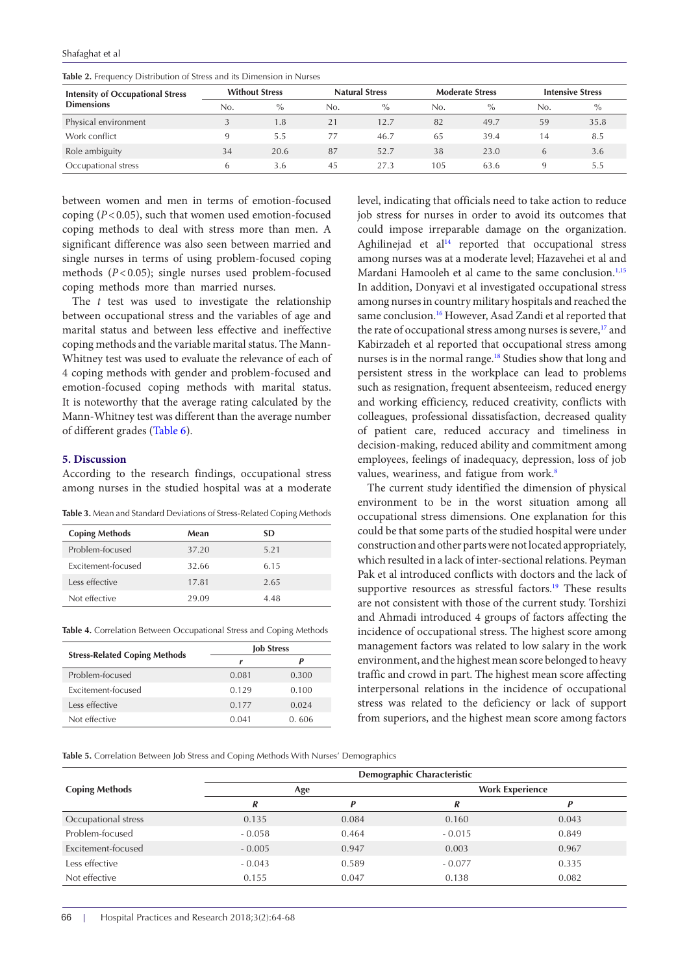Shafaghat et al

| <b>Intensity of Occupational Stress</b><br><b>Dimensions</b> | <b>Without Stress</b> |               | <b>Natural Stress</b> |               | <b>Moderate Stress</b> |               | <b>Intensive Stress</b> |               |
|--------------------------------------------------------------|-----------------------|---------------|-----------------------|---------------|------------------------|---------------|-------------------------|---------------|
|                                                              | No.                   | $\frac{0}{0}$ | No.                   | $\frac{0}{0}$ | No.                    | $\frac{0}{0}$ | No.                     | $\frac{0}{0}$ |
| Physical environment                                         |                       | 1.8           |                       | 12.7          | 82                     | 49.7          | 59                      | 35.8          |
| Work conflict                                                |                       | 5.5           |                       | 46.7          | 65                     | 39.4          | 14                      | 8.5           |
| Role ambiguity                                               | 34                    | 20.6          | 87                    | 52.7          | 38                     | 23.0          | 6                       | 3.6           |
| Occupational stress                                          |                       | 3.6           | 45                    | 27.3          | 105                    | 63.6          |                         | 5.5           |

<span id="page-2-0"></span>**Table 2.** Frequency Distribution of Stress and its Dimension in Nurses

between women and men in terms of emotion-focused coping (*P*<0.05), such that women used emotion-focused coping methods to deal with stress more than men. A significant difference was also seen between married and single nurses in terms of using problem-focused coping methods (*P*<0.05); single nurses used problem-focused coping methods more than married nurses.

The *t* test was used to investigate the relationship between occupational stress and the variables of age and marital status and between less effective and ineffective coping methods and the variable marital status. The Mann-Whitney test was used to evaluate the relevance of each of 4 coping methods with gender and problem-focused and emotion-focused coping methods with marital status. It is noteworthy that the average rating calculated by the Mann-Whitney test was different than the average number of different grades [\(Table 6\)](#page-3-0).

# **5. Discussion**

According to the research findings, occupational stress among nurses in the studied hospital was at a moderate

<span id="page-2-1"></span>**Table 3.** Mean and Standard Deviations of Stress-Related Coping Methods

| <b>Coping Methods</b> | Mean  | SD   |
|-----------------------|-------|------|
| Problem-focused       | 37.20 | 5.21 |
| Excitement-focused    | 32.66 | 615  |
| Less effective        | 17.81 | 2.65 |
| Not effective         | 29.09 | 4 48 |

<span id="page-2-2"></span>**Table 4.** Correlation Between Occupational Stress and Coping Methods

|                                      | <b>Job Stress</b> |       |  |  |
|--------------------------------------|-------------------|-------|--|--|
| <b>Stress-Related Coping Methods</b> |                   | P     |  |  |
| Problem-focused                      | 0.081             | 0.300 |  |  |
| Excitement-focused                   | 0.129             | 0.100 |  |  |
| Less effective                       | 0.177             | 0.024 |  |  |
| Not effective                        | 0.041             | 0.606 |  |  |

level, indicating that officials need to take action to reduce job stress for nurses in order to avoid its outcomes that could impose irreparable damage on the organization. Aghilinejad et al<sup>14</sup> reported that occupational stress among nurses was at a moderate level; Hazavehei et al and Mardani Hamooleh et al came to the same conclusion.<sup>[1](#page-4-0),[15](#page-4-14)</sup> In addition, Donyavi et al investigated occupational stress among nurses in country military hospitals and reached the same conclusion.<sup>[16](#page-4-15)</sup> However, Asad Zandi et al reported that the rate of occupational stress among nurses is severe,<sup>17</sup> and Kabirzadeh et al reported that occupational stress among nurses is in the normal range.<sup>18</sup> Studies show that long and persistent stress in the workplace can lead to problems such as resignation, frequent absenteeism, reduced energy and working efficiency, reduced creativity, conflicts with colleagues, professional dissatisfaction, decreased quality of patient care, reduced accuracy and timeliness in decision-making, reduced ability and commitment among employees, feelings of inadequacy, depression, loss of job values, weariness, and fatigue from work.<sup>[8](#page-4-7)</sup>

The current study identified the dimension of physical environment to be in the worst situation among all occupational stress dimensions. One explanation for this could be that some parts of the studied hospital were under construction and other parts were not located appropriately, which resulted in a lack of inter-sectional relations. Peyman Pak et al introduced conflicts with doctors and the lack of supportive resources as stressful factors.<sup>19</sup> These results are not consistent with those of the current study. Torshizi and Ahmadi introduced 4 groups of factors affecting the incidence of occupational stress. The highest score among management factors was related to low salary in the work environment, and the highest mean score belonged to heavy traffic and crowd in part. The highest mean score affecting interpersonal relations in the incidence of occupational stress was related to the deficiency or lack of support from superiors, and the highest mean score among factors

<span id="page-2-3"></span>**Table 5.** Correlation Between Job Stress and Coping Methods With Nurses' Demographics

|                       | Demographic Characteristic |       |                        |       |  |  |
|-----------------------|----------------------------|-------|------------------------|-------|--|--|
| <b>Coping Methods</b> | Age                        |       | <b>Work Experience</b> |       |  |  |
|                       | R                          |       | R                      |       |  |  |
| Occupational stress   | 0.135                      | 0.084 | 0.160                  | 0.043 |  |  |
| Problem-focused       | $-0.058$                   | 0.464 | $-0.015$               | 0.849 |  |  |
| Excitement-focused    | $-0.005$                   | 0.947 | 0.003                  | 0.967 |  |  |
| Less effective        | $-0.043$                   | 0.589 | $-0.077$               | 0.335 |  |  |
| Not effective         | 0.155                      | 0.047 | 0.138                  | 0.082 |  |  |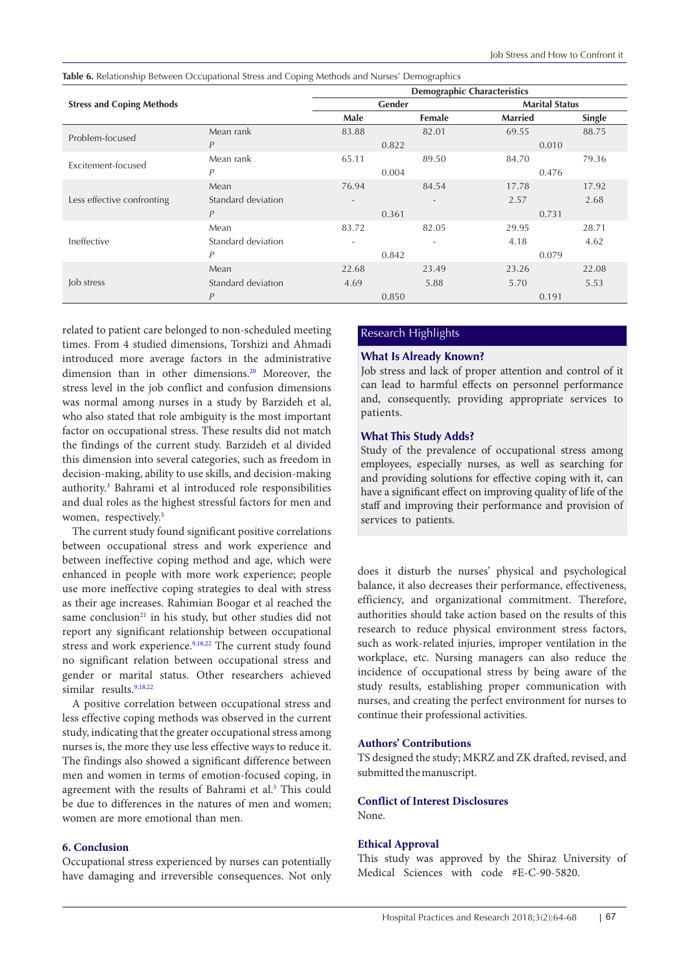<span id="page-3-0"></span>**Table 6.** Relationship Between Occupational Stress and Coping Methods and Nurses' Demographics

|                                  | <b>Demographic Characteristics</b> |                          |                          |                |                       |  |
|----------------------------------|------------------------------------|--------------------------|--------------------------|----------------|-----------------------|--|
| <b>Stress and Coping Methods</b> |                                    |                          | Gender                   |                | <b>Marital Status</b> |  |
|                                  |                                    | Male                     | Female                   | <b>Married</b> | Single                |  |
| Problem-focused                  | Mean rank                          | 83.88                    | 82.01                    | 69.55          | 88.75                 |  |
|                                  | P                                  |                          | 0.822                    |                | 0.010                 |  |
| Excitement-focused               | Mean rank                          | 65.11                    | 89.50                    | 84.70          | 79.36                 |  |
|                                  | $\overline{P}$                     | 0.004                    |                          | 0.476          |                       |  |
|                                  | Mean                               | 76.94                    | 84.54                    | 17.78          | 17.92                 |  |
| Less effective confronting       | Standard deviation                 | $\overline{\phantom{a}}$ | $\overline{\phantom{a}}$ | 2.57           | 2.68                  |  |
|                                  | $\overline{P}$                     | 0.361                    |                          | 0.731          |                       |  |
| Ineffective                      | Mean                               | 83.72                    | 82.05                    | 29.95          | 28.71                 |  |
|                                  | Standard deviation                 | ٠                        | ٠                        | 4.18           | 4.62                  |  |
|                                  | $\overline{P}$                     |                          | 0.842                    |                | 0.079                 |  |
| Job stress                       | Mean                               | 22.68                    | 23.49                    | 23.26          | 22.08                 |  |
|                                  | Standard deviation                 | 4.69                     | 5.88                     | 5.70           | 5.53                  |  |
|                                  | $\overline{P}$                     |                          | 0.850                    |                | 0.191                 |  |

related to patient care belonged to non-scheduled meeting Research Highlights times. From 4 studied dimensions, Torshizi and Ahmadi introduced more average factors in the administrative dimension than in other dimensions.<sup>[20](#page-4-19)</sup> Moreover, the stress level in the job conflict and confusion dimensions was normal among nurses in a study by Barzideh et al, who also stated that role ambiguity is the most important factor on occupational stress. These results did not match the findings of the current study. Barzideh et al divided this dimension into several categories, such as freedom in decision-making, ability to use skills, and decision-making authority[.3](#page-4-2) Bahrami et al introduced role responsibilities and dual roles as the highest stressful factors for men and women, respectively.<sup>5</sup>

The current study found significant positive correlations between occupational stress and work experience and between ineffective coping method and age, which were enhanced in people with more work experience; people use more ineffective coping strategies to deal with stress as their age increases. Rahimian Boogar et al reached the same conclusion $21$  in his study, but other studies did not report any significant relationship between occupational stress and work experience.<sup>9[,18,](#page-4-17)22</sup> The current study found no significant relation between occupational stress and gender or marital status. Other researchers achieved similar results.<sup>[9,](#page-4-8)[18,](#page-4-17)[22](#page-4-0)</sup>

A positive correlation between occupational stress and less effective coping methods was observed in the current study, indicating that the greater occupational stress among nurses is, the more they use less effective ways to reduce it. The findings also showed a significant difference between men and women in terms of emotion-focused coping, in agreement with the results of Bahrami et al.<sup>5</sup> This could be due to differences in the natures of men and women; women are more emotional than men.

# **6. Conclusion**

Occupational stress experienced by nurses can potentially have damaging and irreversible consequences. Not only

# **What Is Already Known?**

Job stress and lack of proper attention and control of it can lead to harmful effects on personnel performance and, consequently, providing appropriate services to patients.

# **What This Study Adds?**

Study of the prevalence of occupational stress among employees, especially nurses, as well as searching for and providing solutions for effective coping with it, can have a significant effect on improving quality of life of the staff and improving their performance and provision of services to patients.

does it disturb the nurses' physical and psychological balance, it also decreases their performance, effectiveness, efficiency, and organizational commitment. Therefore, authorities should take action based on the results of this research to reduce physical environment stress factors, such as work-related injuries, improper ventilation in the workplace, etc. Nursing managers can also reduce the incidence of occupational stress by being aware of the study results, establishing proper communication with nurses, and creating the perfect environment for nurses to continue their professional activities.

# **Authors' Contributions**

TS designed the study; MKRZ and ZK drafted, revised, and submitted the manuscript.

# **Conflict of Interest Disclosures**

None.

# **Ethical Approval**

This study was approved by the Shiraz University of Medical Sciences with code #E-C-90-5820.